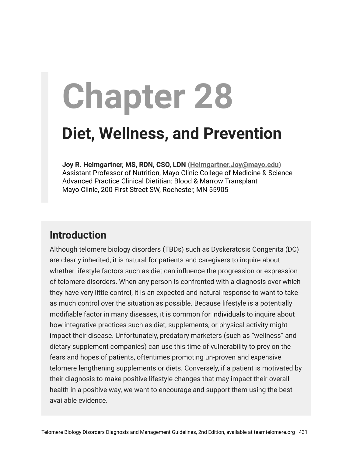# **Chapter 28**

## **Diet, Wellness, and Prevention**

**Joy R. Heimgartner, MS, RDN, CSO, LDN ([Heimgartner.Joy@mayo.edu\)](mailto:Heimgartner.Joy@mayo.edu)** Assistant Professor of Nutrition, Mayo Clinic College of Medicine & Science Advanced Practice Clinical Dietitian: Blood & Marrow Transplant Mayo Clinic, 200 First Street SW, Rochester, MN 55905

## **Introduction**

Although telomere biology disorders (TBDs) such as Dyskeratosis Congenita (DC) are clearly inherited, it is natural for patients and caregivers to inquire about whether lifestyle factors such as diet can influence the progression or expression of telomere disorders. When any person is confronted with a diagnosis over which they have very little control, it is an expected and natural response to want to take as much control over the situation as possible. Because lifestyle is a potentially modifiable factor in many diseases, it is common for individuals to inquire about how integrative practices such as diet, supplements, or physical activity might impact their disease. Unfortunately, predatory marketers (such as "wellness" and dietary supplement companies) can use this time of vulnerability to prey on the fears and hopes of patients, oftentimes promoting un-proven and expensive telomere lengthening supplements or diets. Conversely, if a patient is motivated by their diagnosis to make positive lifestyle changes that may impact their overall health in a positive way, we want to encourage and support them using the best available evidence.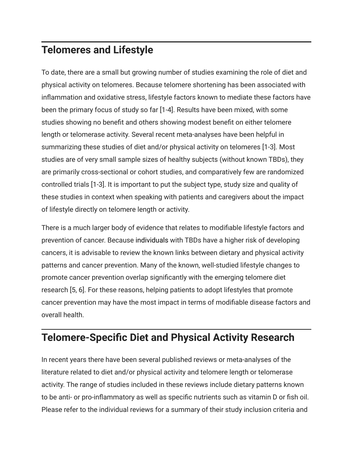## **Telomeres and Lifestyle**

To date, there are a small but growing number of studies examining the role of diet and physical activity on telomeres. Because telomere shortening has been associated with inflammation and oxidative stress, lifestyle factors known to mediate these factors have been the primary focus of study so far [1-4]. Results have been mixed, with some studies showing no benefit and others showing modest benefit on either telomere length or telomerase activity. Several recent meta-analyses have been helpful in summarizing these studies of diet and/or physical activity on telomeres [1-3]. Most studies are of very small sample sizes of healthy subjects (without known TBDs), they are primarily cross-sectional or cohort studies, and comparatively few are randomized controlled trials [1-3]. It is important to put the subject type, study size and quality of these studies in context when speaking with patients and caregivers about the impact of lifestyle directly on telomere length or activity.

There is a much larger body of evidence that relates to modifiable lifestyle factors and prevention of cancer. Because individuals with TBDs have a higher risk of developing cancers, it is advisable to review the known links between dietary and physical activity patterns and cancer prevention. Many of the known, well-studied lifestyle changes to promote cancer prevention overlap significantly with the emerging telomere diet research [5, 6]. For these reasons, helping patients to adopt lifestyles that promote cancer prevention may have the most impact in terms of modifiable disease factors and overall health.

## **Telomere-Specific Diet and Physical Activity Research**

In recent years there have been several published reviews or meta-analyses of the literature related to diet and/or physical activity and telomere length or telomerase activity. The range of studies included in these reviews include dietary patterns known to be anti- or pro-inflammatory as well as specific nutrients such as vitamin D or fish oil. Please refer to the individual reviews for a summary of their study inclusion criteria and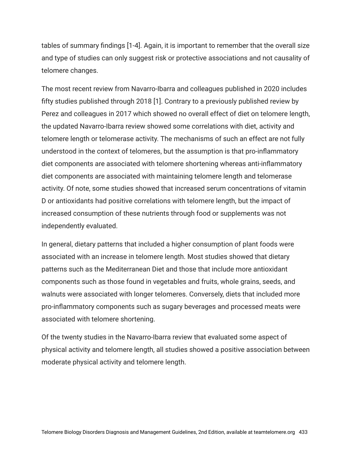tables of summary findings [1-4]. Again, it is important to remember that the overall size and type of studies can only suggest risk or protective associations and not causality of telomere changes.

The most recent review from Navarro-Ibarra and colleagues published in 2020 includes fifty studies published through 2018 [1]. Contrary to a previously published review by Perez and colleagues in 2017 which showed no overall effect of diet on telomere length, the updated Navarro-Ibarra review showed some correlations with diet, activity and telomere length or telomerase activity. The mechanisms of such an effect are not fully understood in the context of telomeres, but the assumption is that pro-inflammatory diet components are associated with telomere shortening whereas anti-inflammatory diet components are associated with maintaining telomere length and telomerase activity. Of note, some studies showed that increased serum concentrations of vitamin D or antioxidants had positive correlations with telomere length, but the impact of increased consumption of these nutrients through food or supplements was not independently evaluated.

In general, dietary patterns that included a higher consumption of plant foods were associated with an increase in telomere length. Most studies showed that dietary patterns such as the Mediterranean Diet and those that include more antioxidant components such as those found in vegetables and fruits, whole grains, seeds, and walnuts were associated with longer telomeres. Conversely, diets that included more pro-inflammatory components such as sugary beverages and processed meats were associated with telomere shortening.

Of the twenty studies in the Navarro-Ibarra review that evaluated some aspect of physical activity and telomere length, all studies showed a positive association between moderate physical activity and telomere length.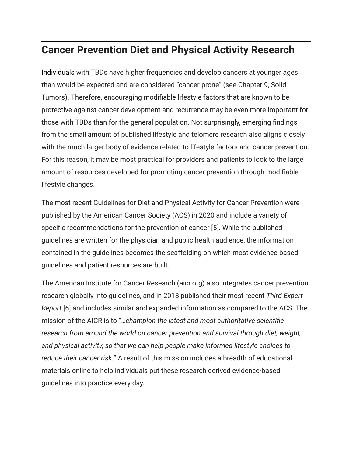## **Cancer Prevention Diet and Physical Activity Research**

Individuals with TBDs have higher frequencies and develop cancers at younger ages than would be expected and are considered "cancer-prone" (see Chapter 9, Solid Tumors). Therefore, encouraging modifiable lifestyle factors that are known to be protective against cancer development and recurrence may be even more important for those with TBDs than for the general population. Not surprisingly, emerging findings from the small amount of published lifestyle and telomere research also aligns closely with the much larger body of evidence related to lifestyle factors and cancer prevention. For this reason, it may be most practical for providers and patients to look to the large amount of resources developed for promoting cancer prevention through modifiable lifestyle changes.

The most recent Guidelines for Diet and Physical Activity for Cancer Prevention were published by the American Cancer Society (ACS) in 2020 and include a variety of specific recommendations for the prevention of cancer [5]. While the published guidelines are written for the physician and public health audience, the information contained in the guidelines becomes the scaffolding on which most evidence-based guidelines and patient resources are built.

The American Institute for Cancer Research (aicr.org) also integrates cancer prevention research globally into guidelines, and in 2018 published their most recent *Third Expert Report* [6] and includes similar and expanded information as compared to the ACS. The mission of the AICR is to "…*champion the latest and most authoritative scientific research from around the world on cancer prevention and survival through diet, weight, and physical activity, so that we can help people make informed lifestyle choices to reduce their cancer risk.*" A result of this mission includes a breadth of educational materials online to help individuals put these research derived evidence-based guidelines into practice every day.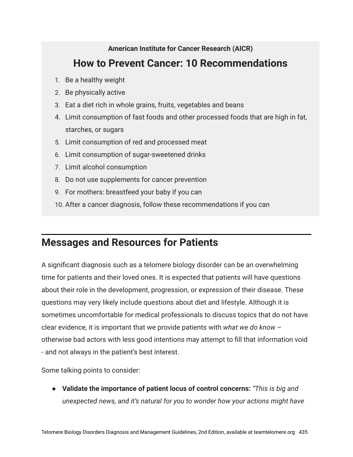#### **American Institute for Cancer Research (AICR)**

## **How to Prevent Cancer: 10 Recommendations**

- 1. Be a healthy weight
- 2. Be physically active
- 3. Eat a diet rich in whole grains, fruits, vegetables and beans
- 4. Limit consumption of fast foods and other processed foods that are high in fat, starches, or sugars
- 5. Limit consumption of red and processed meat
- 6. Limit consumption of sugar-sweetened drinks
- 7. Limit alcohol consumption
- 8. Do not use supplements for cancer prevention
- 9. For mothers: breastfeed your baby if you can
- 10. After a cancer diagnosis, follow these recommendations if you can

## **Messages and Resources for Patients**

A significant diagnosis such as a telomere biology disorder can be an overwhelming time for patients and their loved ones. It is expected that patients will have questions about their role in the development, progression, or expression of their disease. These questions may very likely include questions about diet and lifestyle. Although it is sometimes uncomfortable for medical professionals to discuss topics that do not have clear evidence, it is important that we provide patients with *what we do know* – otherwise bad actors with less good intentions may attempt to fill that information void - and not always in the patient's best interest.

Some talking points to consider:

● **Validate the importance of patient locus of control concerns:** *"This is big and unexpected news, and it's natural for you to wonder how your actions might have*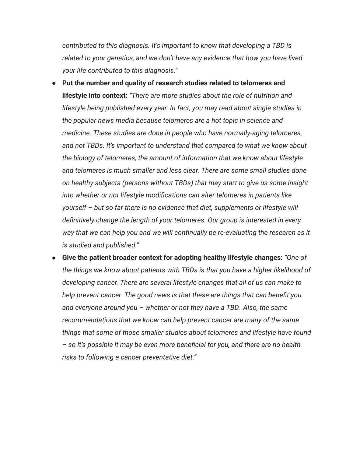*contributed to this diagnosis. It's important to know that developing a TBD is related to your genetics, and we don't have any evidence that how you have lived your life contributed to this diagnosis."*

- **Put the number and quality of research studies related to telomeres and lifestyle into context:** *"There are more studies about the role of nutrition and lifestyle being published every year. In fact, you may read about single studies in the popular news media because telomeres are a hot topic in science and medicine. These studies are done in people who have normally-aging telomeres, and not TBDs. It's important to understand that compared to what we know about the biology of telomeres, the amount of information that we know about lifestyle and telomeres is much smaller and less clear. There are some small studies done on healthy subjects (persons without TBDs) that may start to give us some insight into whether or not lifestyle modifications can alter telomeres in patients like yourself – but so far there is no evidence that diet, supplements or lifestyle will definitively change the length of your telomeres. Our group is interested in every way that we can help you and we will continually be re-evaluating the research as it is studied and published."*
- **Give the patient broader context for adopting healthy lifestyle changes:** *"One of the things we know about patients with TBDs is that you have a higher likelihood of developing cancer. There are several lifestyle changes that all of us can make to help prevent cancer. The good news is that these are things that can benefit you and everyone around you – whether or not they have a TBD. Also, the same recommendations that we know can help prevent cancer are many of the same things that some of those smaller studies about telomeres and lifestyle have found – so it's possible it may be even more beneficial for you, and there are no health risks to following a cancer preventative diet."*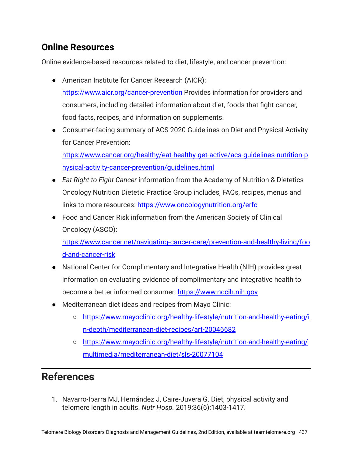### **Online Resources**

Online evidence-based resources related to diet, lifestyle, and cancer prevention:

- American Institute for Cancer Research (AICR): [https://www.aicr.org/cancer-prevention](https://www.aicr.org/cancer-prevention/) Provides information for providers and consumers, including detailed information about diet, foods that fight cancer, food facts, recipes, and information on supplements.
- Consumer-facing summary of ACS 2020 Guidelines on Diet and Physical Activity for Cancer Prevention[:](https://www.cancer.org/healthy/eat-healthy-get-active/acs-guidelines-nutrition-physical-activity-cancer-prevention/guidelines.html)

[https://www.cancer.org/healthy/eat-healthy-get-active/acs-guidelines-nutrition-p](https://www.cancer.org/healthy/eat-healthy-get-active/acs-guidelines-nutrition-physical-activity-cancer-prevention/guidelines.html) [hysical-activity-cancer-prevention/guidelines.html](https://www.cancer.org/healthy/eat-healthy-get-active/acs-guidelines-nutrition-physical-activity-cancer-prevention/guidelines.html)

- *Eat Right to Fight Cancer* information from the Academy of Nutrition & Dietetics Oncology Nutrition Dietetic Practice Group includes, FAQs, recipes, menus and links to more resources: <https://www.oncologynutrition.org/erfc>
- Food and Cancer Risk information from the American Society of Clinical Oncology (ASCO)[:](https://www.cancer.net/navigating-cancer-care/prevention-and-healthy-living/food-and-cancer-risk)

[https://www.cancer.net/navigating-cancer-care/prevention-and-healthy-living/foo](https://www.cancer.net/navigating-cancer-care/prevention-and-healthy-living/food-and-cancer-risk) [d-and-cancer-risk](https://www.cancer.net/navigating-cancer-care/prevention-and-healthy-living/food-and-cancer-risk)

- National Center for Complimentary and Integrative Health (NIH) provides great information on evaluating evidence of complimentary and integrative health to become a better informed consumer: [https://www.nccih.nih.gov](https://www.nccih.nih.gov/)
- Mediterranean diet ideas and recipes from Mayo Clinic:
	- [https://www.mayoclinic.org/healthy-lifestyle/nutrition-and-healthy-eating/i](https://www.mayoclinic.org/healthy-lifestyle/nutrition-and-healthy-eating/in-depth/mediterranean-diet-recipes/art-20046682) [n-depth/mediterranean-diet-recipes/art-20046682](https://www.mayoclinic.org/healthy-lifestyle/nutrition-and-healthy-eating/in-depth/mediterranean-diet-recipes/art-20046682)
	- [https://www.mayoclinic.org/healthy-lifestyle/nutrition-and-healthy-eating/](https://www.mayoclinic.org/healthy-lifestyle/nutrition-and-healthy-eating/multimedia/mediterranean-diet/sls-20077104) [multimedia/mediterranean-diet/sls-20077104](https://www.mayoclinic.org/healthy-lifestyle/nutrition-and-healthy-eating/multimedia/mediterranean-diet/sls-20077104)

## **References**

1. Navarro-Ibarra MJ, Hernández J, Caire-Juvera G. Diet, physical activity and telomere length in adults. *Nutr Hosp.* 2019;36(6):1403-1417.